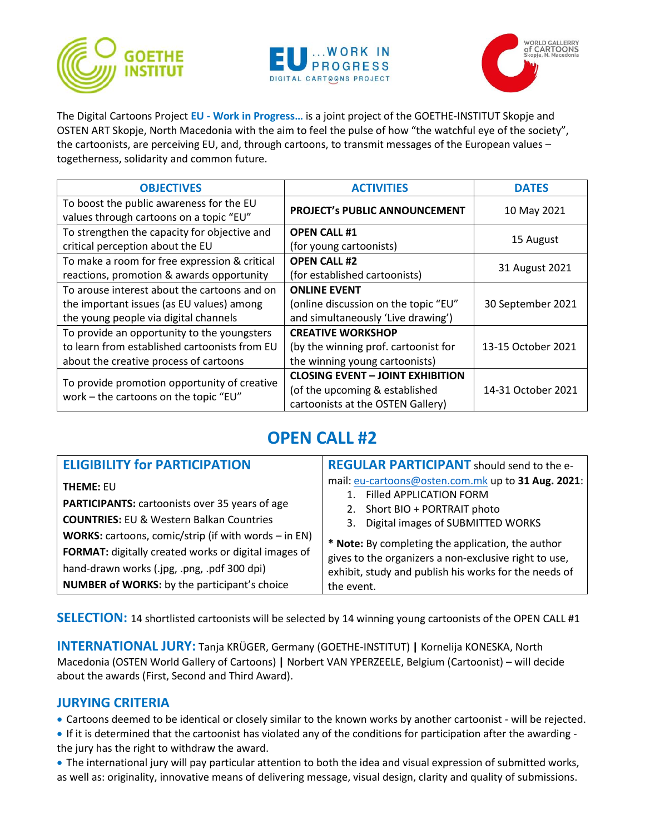





The Digital Cartoons Project **EU - Work in Progress…** is a joint project of the GOETHE-INSTITUT Skopje and OSTEN ART Skopje, North Macedonia with the aim to feel the pulse of how "the watchful eye of the society", the cartoonists, are perceiving EU, and, through cartoons, to transmit messages of the European values – togetherness, solidarity and common future.

| <b>OBJECTIVES</b>                                                                                                                      | <b>ACTIVITIES</b>                                                                                              | <b>DATES</b>       |
|----------------------------------------------------------------------------------------------------------------------------------------|----------------------------------------------------------------------------------------------------------------|--------------------|
| To boost the public awareness for the EU<br>values through cartoons on a topic "EU"                                                    | PROJECT's PUBLIC ANNOUNCEMENT                                                                                  | 10 May 2021        |
| To strengthen the capacity for objective and<br>critical perception about the EU                                                       | <b>OPEN CALL #1</b><br>(for young cartoonists)                                                                 | 15 August          |
| To make a room for free expression & critical<br>reactions, promotion & awards opportunity                                             | <b>OPEN CALL #2</b><br>(for established cartoonists)                                                           | 31 August 2021     |
| To arouse interest about the cartoons and on<br>the important issues (as EU values) among<br>the young people via digital channels     | <b>ONLINE EVENT</b><br>(online discussion on the topic "EU"<br>and simultaneously 'Live drawing')              | 30 September 2021  |
| To provide an opportunity to the youngsters<br>to learn from established cartoonists from EU<br>about the creative process of cartoons | <b>CREATIVE WORKSHOP</b><br>(by the winning prof. cartoonist for<br>the winning young cartoonists)             | 13-15 October 2021 |
| To provide promotion opportunity of creative<br>work - the cartoons on the topic "EU"                                                  | <b>CLOSING EVENT - JOINT EXHIBITION</b><br>(of the upcoming & established<br>cartoonists at the OSTEN Gallery) | 14-31 October 2021 |

# **OPEN CALL #2**

| <b>ELIGIBILITY for PARTICIPATION</b>                                                                                                                                                                                                                                                                                                                     | <b>REGULAR PARTICIPANT</b> should send to the e-                                                                                                                                                                                                                                                                                                   |
|----------------------------------------------------------------------------------------------------------------------------------------------------------------------------------------------------------------------------------------------------------------------------------------------------------------------------------------------------------|----------------------------------------------------------------------------------------------------------------------------------------------------------------------------------------------------------------------------------------------------------------------------------------------------------------------------------------------------|
| <b>THEME: EU</b><br><b>PARTICIPANTS:</b> cartoonists over 35 years of age<br><b>COUNTRIES: EU &amp; Western Balkan Countries</b><br><b>WORKS:</b> cartoons, comic/strip (if with words $-$ in EN)<br>FORMAT: digitally created works or digital images of<br>hand-drawn works (.jpg, .png, .pdf 300 dpi)<br>NUMBER of WORKS: by the participant's choice | mail: eu-cartoons@osten.com.mk up to 31 Aug. 2021:<br><b>Filled APPLICATION FORM</b><br>2. Short BIO + PORTRAIT photo<br>3. Digital images of SUBMITTED WORKS<br>* Note: By completing the application, the author<br>gives to the organizers a non-exclusive right to use,<br>exhibit, study and publish his works for the needs of<br>the event. |

**SELECTION:** 14 shortlisted cartoonists will be selected by 14 winning young cartoonists of the OPEN CALL #1

**INTERNATIONAL JURY:** Tanja KRÜGER, Germany (GOETHE-INSTITUT) **|** Kornelija KONESKA, North Macedonia (OSTEN World Gallery of Cartoons) **|** Norbert VAN YPERZEELE, Belgium (Cartoonist) – will decide about the awards (First, Second and Third Award).

#### **JURYING CRITERIA**

• Cartoons deemed to be identical or closely similar to the known works by another cartoonist - will be rejected.

• If it is determined that the cartoonist has violated any of the conditions for participation after the awarding the jury has the right to withdraw the award.

• The international jury will pay particular attention to both the idea and visual expression of submitted works, as well as: originality, innovative means of delivering message, visual design, clarity and quality of submissions.